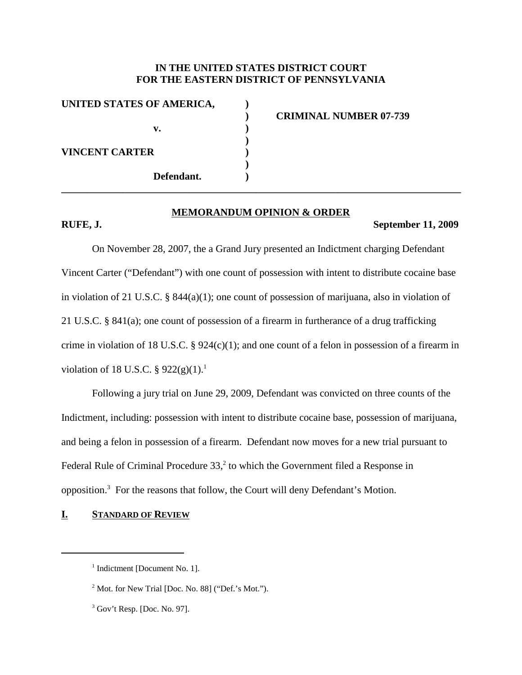# **IN THE UNITED STATES DISTRICT COURT FOR THE EASTERN DISTRICT OF PENNSYLVANIA**

| UNITED STATES OF AMERICA, |                               |
|---------------------------|-------------------------------|
|                           | <b>CRIMINAL NUMBER 07-739</b> |
| v.                        |                               |
|                           |                               |
| <b>VINCENT CARTER</b>     |                               |
|                           |                               |
| Defendant.                |                               |
|                           |                               |

#### **MEMORANDUM OPINION & ORDER**

#### **RUFE, J. September 11, 2009**

On November 28, 2007, the a Grand Jury presented an Indictment charging Defendant Vincent Carter ("Defendant") with one count of possession with intent to distribute cocaine base in violation of 21 U.S.C. § 844(a)(1); one count of possession of marijuana, also in violation of 21 U.S.C. § 841(a); one count of possession of a firearm in furtherance of a drug trafficking crime in violation of 18 U.S.C. § 924(c)(1); and one count of a felon in possession of a firearm in violation of 18 U.S.C.  $\S 922(g)(1)$ .

Following a jury trial on June 29, 2009, Defendant was convicted on three counts of the Indictment, including: possession with intent to distribute cocaine base, possession of marijuana, and being a felon in possession of a firearm. Defendant now moves for a new trial pursuant to Federal Rule of Criminal Procedure 33,<sup>2</sup> to which the Government filed a Response in opposition.<sup>3</sup> For the reasons that follow, the Court will deny Defendant's Motion.

## **I. STANDARD OF REVIEW**

<sup>&</sup>lt;sup>1</sup> Indictment [Document No. 1].

<sup>2</sup> Mot. for New Trial [Doc. No. 88] ("Def.'s Mot.").

<sup>&</sup>lt;sup>3</sup> Gov't Resp. [Doc. No. 97].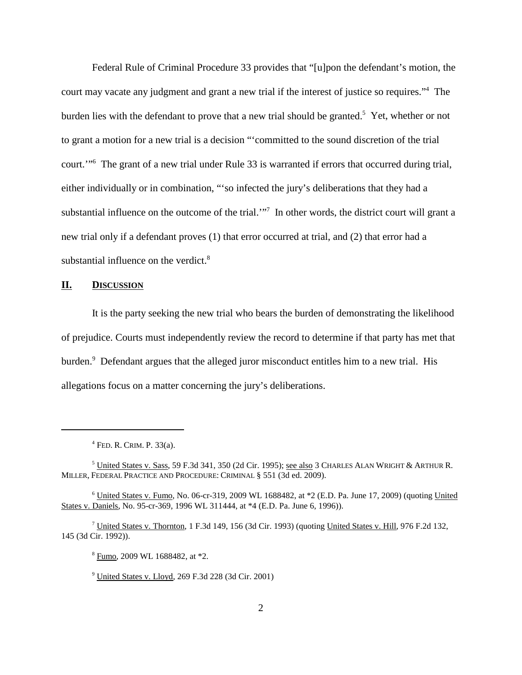Federal Rule of Criminal Procedure 33 provides that "[u]pon the defendant's motion, the court may vacate any judgment and grant a new trial if the interest of justice so requires."4 The burden lies with the defendant to prove that a new trial should be granted.<sup>5</sup> Yet, whether or not to grant a motion for a new trial is a decision "'committed to the sound discretion of the trial court.'"6 The grant of a new trial under Rule 33 is warranted if errors that occurred during trial, either individually or in combination, "'so infected the jury's deliberations that they had a substantial influence on the outcome of the trial."<sup>7</sup> In other words, the district court will grant a new trial only if a defendant proves (1) that error occurred at trial, and (2) that error had a substantial influence on the verdict.<sup>8</sup>

#### **II. DISCUSSION**

It is the party seeking the new trial who bears the burden of demonstrating the likelihood of prejudice. Courts must independently review the record to determine if that party has met that burden. <sup>9</sup> Defendant argues that the alleged juror misconduct entitles him to a new trial. His allegations focus on a matter concerning the jury's deliberations.

 $4$  FED. R. CRIM. P. 33(a).

<sup>5</sup> United States v. Sass, 59 F.3d 341, 350 (2d Cir. 1995); see also 3 CHARLES ALAN WRIGHT & ARTHUR R. MILLER, FEDERAL PRACTICE AND PROCEDURE: CRIMINAL § 551 (3d ed. 2009).

<sup>6</sup> United States v. Fumo, No. 06-cr-319, 2009 WL 1688482, at \*2 (E.D. Pa. June 17, 2009) (quoting United States v. Daniels, No. 95-cr-369, 1996 WL 311444, at \*4 (E.D. Pa. June 6, 1996)).

<sup>&</sup>lt;sup>7</sup> United States v. Thornton, 1 F.3d 149, 156 (3d Cir. 1993) (quoting United States v. Hill, 976 F.2d 132, 145 (3d Cir. 1992)).

<sup>8</sup> Fumo, 2009 WL 1688482, at \*2.

<sup>9</sup> United States v. Lloyd, 269 F.3d 228 (3d Cir. 2001)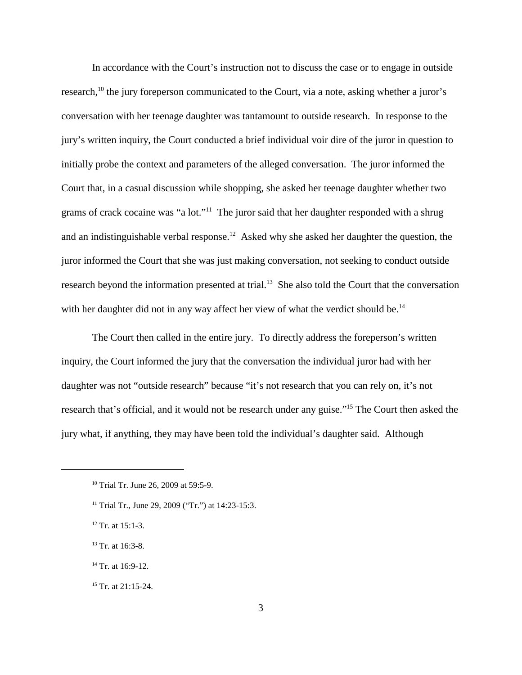In accordance with the Court's instruction not to discuss the case or to engage in outside research,<sup>10</sup> the jury foreperson communicated to the Court, via a note, asking whether a juror's conversation with her teenage daughter was tantamount to outside research. In response to the jury's written inquiry, the Court conducted a brief individual voir dire of the juror in question to initially probe the context and parameters of the alleged conversation. The juror informed the Court that, in a casual discussion while shopping, she asked her teenage daughter whether two grams of crack cocaine was "a lot."11 The juror said that her daughter responded with a shrug and an indistinguishable verbal response.<sup>12</sup> Asked why she asked her daughter the question, the juror informed the Court that she was just making conversation, not seeking to conduct outside research beyond the information presented at trial.<sup>13</sup> She also told the Court that the conversation with her daughter did not in any way affect her view of what the verdict should be.<sup>14</sup>

The Court then called in the entire jury. To directly address the foreperson's written inquiry, the Court informed the jury that the conversation the individual juror had with her daughter was not "outside research" because "it's not research that you can rely on, it's not research that's official, and it would not be research under any guise."15 The Court then asked the jury what, if anything, they may have been told the individual's daughter said. Although

- $12$  Tr. at 15:1-3.
- <sup>13</sup> Tr. at 16:3-8.
- $14$  Tr. at 16:9-12.
- <sup>15</sup> Tr. at 21:15-24.

<sup>&</sup>lt;sup>10</sup> Trial Tr. June 26, 2009 at 59:5-9.

<sup>&</sup>lt;sup>11</sup> Trial Tr., June 29, 2009 ("Tr.") at  $14:23-15:3$ .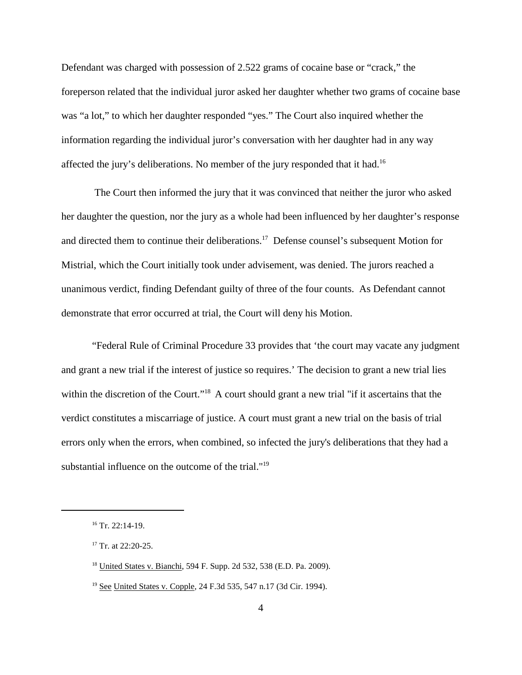Defendant was charged with possession of 2.522 grams of cocaine base or "crack," the foreperson related that the individual juror asked her daughter whether two grams of cocaine base was "a lot," to which her daughter responded "yes." The Court also inquired whether the information regarding the individual juror's conversation with her daughter had in any way affected the jury's deliberations. No member of the jury responded that it had.<sup>16</sup>

The Court then informed the jury that it was convinced that neither the juror who asked her daughter the question, nor the jury as a whole had been influenced by her daughter's response and directed them to continue their deliberations.<sup>17</sup> Defense counsel's subsequent Motion for Mistrial, which the Court initially took under advisement, was denied. The jurors reached a unanimous verdict, finding Defendant guilty of three of the four counts. As Defendant cannot demonstrate that error occurred at trial, the Court will deny his Motion.

"Federal Rule of Criminal Procedure 33 provides that 'the court may vacate any judgment and grant a new trial if the interest of justice so requires.' The decision to grant a new trial lies within the discretion of the Court."<sup>18</sup> A court should grant a new trial "if it ascertains that the verdict constitutes a miscarriage of justice. A court must grant a new trial on the basis of trial errors only when the errors, when combined, so infected the jury's deliberations that they had a substantial influence on the outcome of the trial."<sup>19</sup>

 $16$  Tr. 22:14-19.

<sup>&</sup>lt;sup>17</sup> Tr. at 22:20-25.

<sup>18</sup> United States v. Bianchi, 594 F. Supp. 2d 532, 538 (E.D. Pa. 2009).

<sup>19</sup> See United States v. Copple, 24 F.3d 535, 547 n.17 (3d Cir. 1994).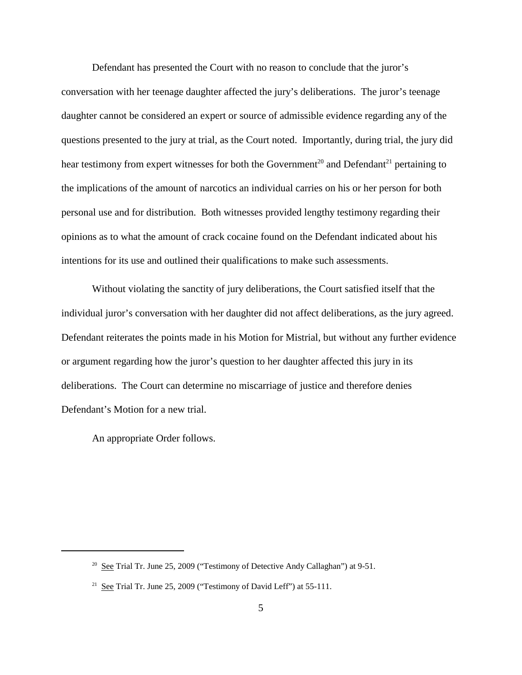Defendant has presented the Court with no reason to conclude that the juror's conversation with her teenage daughter affected the jury's deliberations. The juror's teenage daughter cannot be considered an expert or source of admissible evidence regarding any of the questions presented to the jury at trial, as the Court noted. Importantly, during trial, the jury did hear testimony from expert witnesses for both the Government<sup>20</sup> and Defendant<sup>21</sup> pertaining to the implications of the amount of narcotics an individual carries on his or her person for both personal use and for distribution. Both witnesses provided lengthy testimony regarding their opinions as to what the amount of crack cocaine found on the Defendant indicated about his intentions for its use and outlined their qualifications to make such assessments.

Without violating the sanctity of jury deliberations, the Court satisfied itself that the individual juror's conversation with her daughter did not affect deliberations, as the jury agreed. Defendant reiterates the points made in his Motion for Mistrial, but without any further evidence or argument regarding how the juror's question to her daughter affected this jury in its deliberations. The Court can determine no miscarriage of justice and therefore denies Defendant's Motion for a new trial.

An appropriate Order follows.

 $20$  See Trial Tr. June 25, 2009 ("Testimony of Detective Andy Callaghan") at 9-51.

<sup>&</sup>lt;sup>21</sup> See Trial Tr. June 25, 2009 ("Testimony of David Leff") at 55-111.